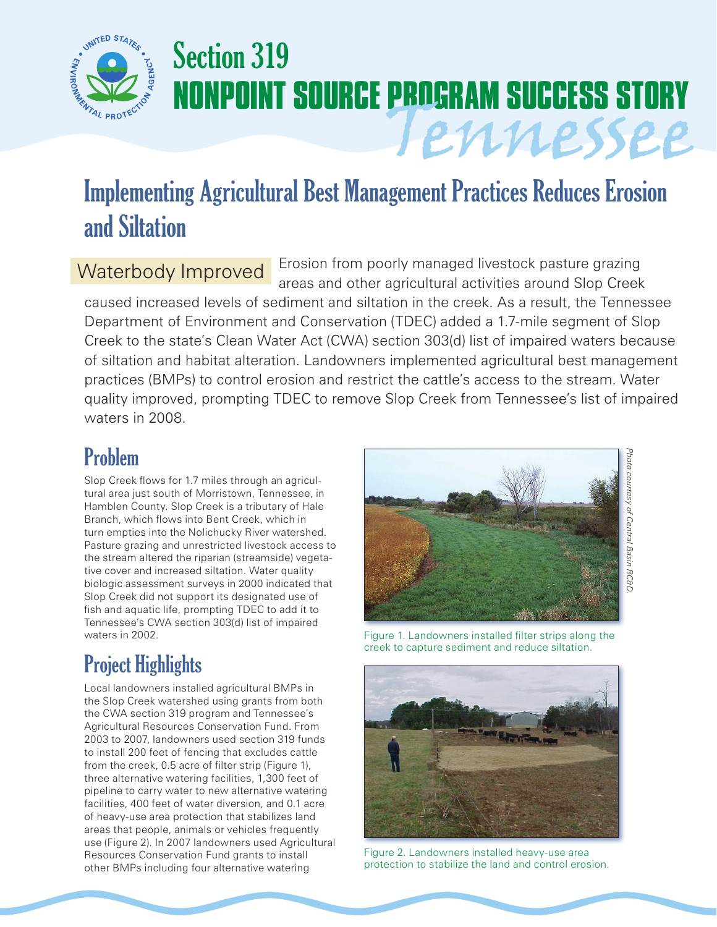

# Section 319 **NONPOINT SOURCE PROGRAM SUCCESS STORY** Tennessee

## Implementing Agricultural Best Management Practices Reduces Erosion and Siltation

### Waterbody Improved

Erosion from poorly managed livestock pasture grazing areas and other agricultural activities around Slop Creek

caused increased levels of sediment and siltation in the creek. As a result, the Tennessee Department of Environment and Conservation (TDEC) added a 1.7-mile segment of Slop Creek to the state's Clean Water Act (CWA) section 303(d) list of impaired waters because of siltation and habitat alteration. Landowners implemented agricultural best management practices (BMPs) to control erosion and restrict the cattle's access to the stream. Water quality improved, prompting TDEC to remove Slop Creek from Tennessee's list of impaired waters in 2008.

### Problem

Slop Creek flows for 1.7 miles through an agricultural area just south of Morristown, Tennessee, in Hamblen County. Slop Creek is a tributary of Hale Branch, which flows into Bent Creek, which in turn empties into the Nolichucky River watershed. Pasture grazing and unrestricted livestock access to the stream altered the riparian (streamside) vegetative cover and increased siltation. Water quality biologic assessment surveys in 2000 indicated that Slop Creek did not support its designated use of fish and aquatic life, prompting TDEC to add it to Tennessee's CWA section 303(d) list of impaired waters in 2002.

### Project Highlights

Local landowners installed agricultural BMPs in the Slop Creek watershed using grants from both the CWA section 319 program and Tennessee's Agricultural Resources Conservation Fund. From 2003 to 2007, landowners used section 319 funds to install 200 feet of fencing that excludes cattle from the creek, 0.5 acre of filter strip (Figure 1), three alternative watering facilities, 1,300 feet of pipeline to carry water to new alternative watering facilities, 400 feet of water diversion, and 0.1 acre of heavy-use area protection that stabilizes land areas that people, animals or vehicles frequently use (Figure 2). In 2007 landowners used Agricultural Resources Conservation Fund grants to install other BMPs including four alternative watering



Figure 1. Landowners installed filter strips along the creek to capture sediment and reduce siltation.



Figure 2. Landowners installed heavy-use area protection to stabilize the land and control erosion.